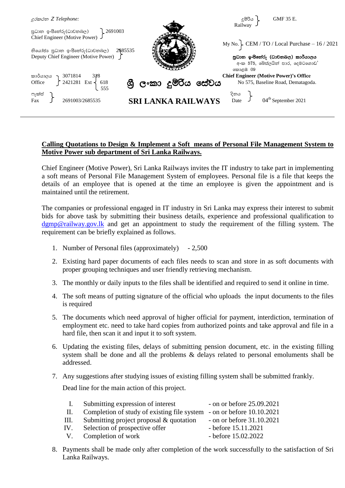

## **Calling Quotations to Design & Implement a Soft means of Personal File Management System to Motive Power sub department of Sri Lanka Railways.**

Chief Engineer (Motive Power), Sri Lanka Railways invites the IT industry to take part in implementing a soft means of Personal File Management System of employees. Personal file is a file that keeps the details of an employee that is opened at the time an employee is given the appointment and is maintained until the retirement.

The companies or professional engaged in IT industry in Sri Lanka may express their interest to submit bids for above task by submitting their business details, experience and professional qualification to [dgmp@railway.gov.lk](mailto:dgmp@railway.gov.lk) and get an appointment to study the requirement of the filling system. The requirement can be briefly explained as follows.

- 1. Number of Personal files (approximately) 2,500
- 2. Existing hard paper documents of each files needs to scan and store in as soft documents with proper grouping techniques and user friendly retrieving mechanism.
- 3. The monthly or daily inputs to the files shall be identified and required to send it online in time.
- 4. The soft means of putting signature of the official who uploads the input documents to the files is required
- 5. The documents which need approval of higher official for payment, interdiction, termination of employment etc. need to take hard copies from authorized points and take approval and file in a hard file, then scan it and input it to soft system.
- 6. Updating the existing files, delays of submitting pension document, etc. in the existing filling system shall be done and all the problems & delays related to personal emoluments shall be addressed.
- 7. Any suggestions after studying issues of existing filling system shall be submitted frankly.

Dead line for the main action of this project.

| $\mathbf{I}$ . | Submitting expression of interest                                     | - on or before $25.09.2021$ |
|----------------|-----------------------------------------------------------------------|-----------------------------|
| - H. -         | Completion of study of existing file system - on or before 10.10.2021 |                             |
| III.           | Submitting project proposal & quotation                               | - on or before $31.10.2021$ |
| IV.            | Selection of prospective offer                                        | - before $15.11.2021$       |
| $V_{\perp}$    | Completion of work                                                    | - before $15.02.2022$       |

8. Payments shall be made only after completion of the work successfully to the satisfaction of Sri Lanka Railways.